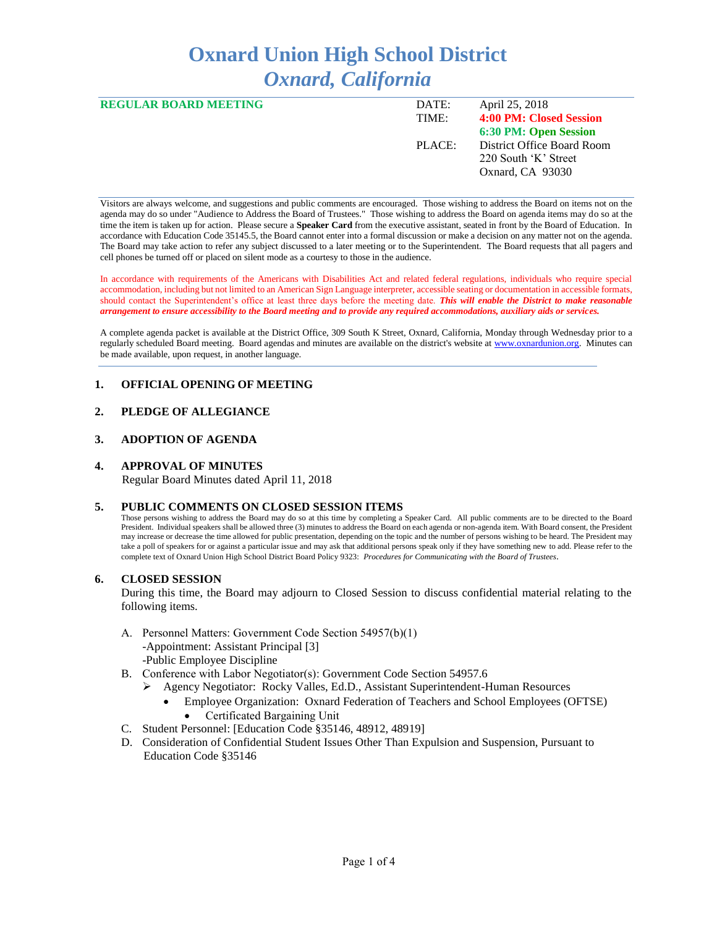# **Oxnard Union High School District** *Oxnard, California*

| <b>REGULAR BOARD MEETING</b> | DATE:  | April 25, 2018             |
|------------------------------|--------|----------------------------|
|                              | TIME:  | 4:00 PM: Closed Session    |
|                              |        | 6:30 PM: Open Session      |
|                              | PLACE: | District Office Board Room |
|                              |        | 220 South 'K' Street       |
|                              |        | Oxnard, CA 93030           |
|                              |        |                            |

Visitors are always welcome, and suggestions and public comments are encouraged. Those wishing to address the Board on items not on the agenda may do so under "Audience to Address the Board of Trustees." Those wishing to address the Board on agenda items may do so at the time the item is taken up for action. Please secure a **Speaker Card** from the executive assistant, seated in front by the Board of Education. In accordance with Education Code 35145.5, the Board cannot enter into a formal discussion or make a decision on any matter not on the agenda. The Board may take action to refer any subject discussed to a later meeting or to the Superintendent. The Board requests that all pagers and cell phones be turned off or placed on silent mode as a courtesy to those in the audience.

In accordance with requirements of the Americans with Disabilities Act and related federal regulations, individuals who require special accommodation, including but not limited to an American Sign Language interpreter, accessible seating or documentation in accessible formats, should contact the Superintendent's office at least three days before the meeting date. *This will enable the District to make reasonable arrangement to ensure accessibility to the Board meeting and to provide any required accommodations, auxiliary aids or services.* 

A complete agenda packet is available at the District Office, 309 South K Street, Oxnard, California, Monday through Wednesday prior to a regularly scheduled Board meeting. Board agendas and minutes are available on the district's website a[t www.ox](http://www.o/)nardunion.org.Minutes can be made available, upon request, in another language.

## **1. OFFICIAL OPENING OF MEETING**

# **2. PLEDGE OF ALLEGIANCE**

## **3. ADOPTION OF AGENDA**

#### **4. APPROVAL OF MINUTES**

Regular Board Minutes dated April 11, 2018

#### **5. PUBLIC COMMENTS ON CLOSED SESSION ITEMS**

Those persons wishing to address the Board may do so at this time by completing a Speaker Card. All public comments are to be directed to the Board President. Individual speakers shall be allowed three (3) minutes to address the Board on each agenda or non-agenda item. With Board consent, the President may increase or decrease the time allowed for public presentation, depending on the topic and the number of persons wishing to be heard. The President may take a poll of speakers for or against a particular issue and may ask that additional persons speak only if they have something new to add. Please refer to the complete text of Oxnard Union High School District Board Policy 9323: *Procedures for Communicating with the Board of Trustees*.

## **6. CLOSED SESSION**

During this time, the Board may adjourn to Closed Session to discuss confidential material relating to the following items.

- A. Personnel Matters: Government Code Section 54957(b)(1) -Appointment: Assistant Principal [3] -Public Employee Discipline
- B. Conference with Labor Negotiator(s): Government Code Section 54957.6
	- ➢ Agency Negotiator: Rocky Valles, Ed.D., Assistant Superintendent-Human Resources
		- Employee Organization: Oxnard Federation of Teachers and School Employees (OFTSE)
			- Certificated Bargaining Unit
- C. Student Personnel: [Education Code §35146, 48912, 48919]
- D. Consideration of Confidential Student Issues Other Than Expulsion and Suspension, Pursuant to Education Code §35146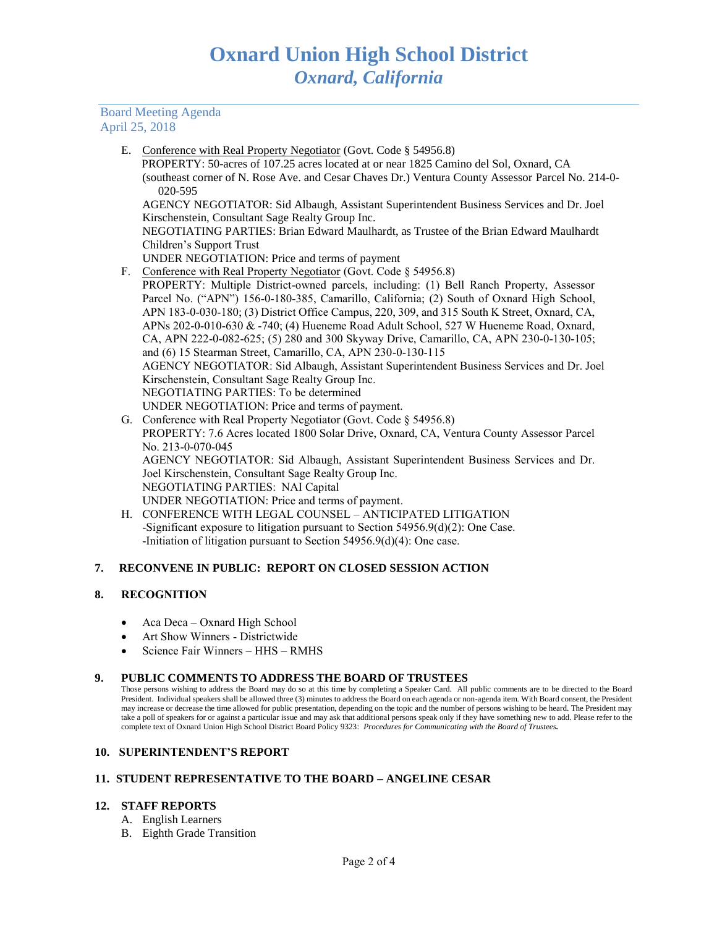# Board Meeting Agenda April 25, 2018

E. Conference with Real Property Negotiator (Govt. Code § 54956.8)

 PROPERTY: 50-acres of 107.25 acres located at or near 1825 Camino del Sol, Oxnard, CA (southeast corner of N. Rose Ave. and Cesar Chaves Dr.) Ventura County Assessor Parcel No. 214-0- 020-595

AGENCY NEGOTIATOR: Sid Albaugh, Assistant Superintendent Business Services and Dr. Joel Kirschenstein, Consultant Sage Realty Group Inc.

NEGOTIATING PARTIES: Brian Edward Maulhardt, as Trustee of the Brian Edward Maulhardt Children's Support Trust

- UNDER NEGOTIATION: Price and terms of payment
- F. Conference with Real Property Negotiator (Govt. Code § 54956.8)
- PROPERTY: Multiple District-owned parcels, including: (1) Bell Ranch Property, Assessor Parcel No. ("APN") 156-0-180-385, Camarillo, California; (2) South of Oxnard High School, APN 183-0-030-180; (3) District Office Campus, 220, 309, and 315 South K Street, Oxnard, CA, APNs 202-0-010-630 & -740; (4) Hueneme Road Adult School, 527 W Hueneme Road, Oxnard, CA, APN 222-0-082-625; (5) 280 and 300 Skyway Drive, Camarillo, CA, APN 230-0-130-105; and (6) 15 Stearman Street, Camarillo, CA, APN 230-0-130-115 AGENCY NEGOTIATOR: Sid Albaugh, Assistant Superintendent Business Services and Dr. Joel Kirschenstein, Consultant Sage Realty Group Inc. NEGOTIATING PARTIES: To be determined UNDER NEGOTIATION: Price and terms of payment.
- G. Conference with Real Property Negotiator (Govt. Code § 54956.8) PROPERTY: 7.6 Acres located 1800 Solar Drive, Oxnard, CA, Ventura County Assessor Parcel No. 213-0-070-045 AGENCY NEGOTIATOR: Sid Albaugh, Assistant Superintendent Business Services and Dr. Joel Kirschenstein, Consultant Sage Realty Group Inc. NEGOTIATING PARTIES: NAI Capital UNDER NEGOTIATION: Price and terms of payment.
- H. CONFERENCE WITH LEGAL COUNSEL ANTICIPATED LITIGATION -Significant exposure to litigation pursuant to Section 54956.9(d)(2): One Case. -Initiation of litigation pursuant to Section 54956.9(d)(4): One case.

# **7. RECONVENE IN PUBLIC: REPORT ON CLOSED SESSION ACTION**

## **8. RECOGNITION**

- Aca Deca Oxnard High School
- Art Show Winners Districtwide
- Science Fair Winners HHS RMHS

## **9. PUBLIC COMMENTS TO ADDRESS THE BOARD OF TRUSTEES**

Those persons wishing to address the Board may do so at this time by completing a Speaker Card. All public comments are to be directed to the Board President. Individual speakers shall be allowed three (3) minutes to address the Board on each agenda or non-agenda item. With Board consent, the President may increase or decrease the time allowed for public presentation, depending on the topic and the number of persons wishing to be heard. The President may take a poll of speakers for or against a particular issue and may ask that additional persons speak only if they have something new to add. Please refer to the complete text of Oxnard Union High School District Board Policy 9323: *Procedures for Communicating with the Board of Trustees.*

## **10. SUPERINTENDENT'S REPORT**

## **11. STUDENT REPRESENTATIVE TO THE BOARD – ANGELINE CESAR**

#### **12. STAFF REPORTS**

- A. English Learners
- B. Eighth Grade Transition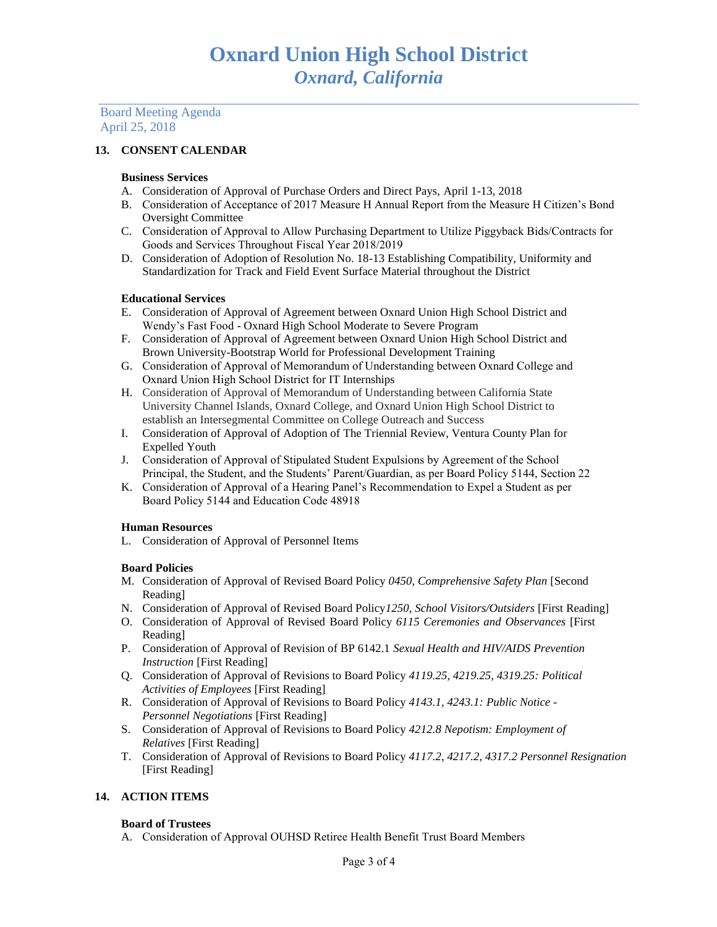Board Meeting Agenda April 25, 2018

# **13. CONSENT CALENDAR**

#### **Business Services**

- A. Consideration of Approval of Purchase Orders and Direct Pays, April 1-13, 2018
- B. Consideration of Acceptance of 2017 Measure H Annual Report from the Measure H Citizen's Bond Oversight Committee
- C. Consideration of Approval to Allow Purchasing Department to Utilize Piggyback Bids/Contracts for Goods and Services Throughout Fiscal Year 2018/2019
- D. Consideration of Adoption of Resolution No. 18-13 Establishing Compatibility, Uniformity and Standardization for Track and Field Event Surface Material throughout the District

#### **Educational Services**

- E. Consideration of Approval of Agreement between Oxnard Union High School District and Wendy's Fast Food - Oxnard High School Moderate to Severe Program
- F. Consideration of Approval of Agreement between Oxnard Union High School District and Brown University-Bootstrap World for Professional Development Training
- G. Consideration of Approval of Memorandum of Understanding between Oxnard College and Oxnard Union High School District for IT Internships
- H. Consideration of Approval of Memorandum of Understanding between California State University Channel Islands, Oxnard College, and Oxnard Union High School District to establish an Intersegmental Committee on College Outreach and Success
- I. Consideration of Approval of Adoption of The Triennial Review, Ventura County Plan for Expelled Youth
- J. Consideration of Approval of Stipulated Student Expulsions by Agreement of the School Principal, the Student, and the Students' Parent/Guardian, as per Board Policy 5144, Section 22
- K. Consideration of Approval of a Hearing Panel's Recommendation to Expel a Student as per Board Policy 5144 and Education Code 48918

## **Human Resources**

L. Consideration of Approval of Personnel Items

#### **Board Policies**

- M. Consideration of Approval of Revised Board Policy *0450, Comprehensive Safety Plan* [Second Reading]
- N. Consideration of Approval of Revised Board Policy*1250, School Visitors/Outsiders* [First Reading]
- O. Consideration of Approval of Revised Board Policy *6115 Ceremonies and Observances* [First Reading]
- P. Consideration of Approval of Revision of BP 6142.1 *Sexual Health and HIV/AIDS Prevention Instruction* [First Reading]
- Q. Consideration of Approval of Revisions to Board Policy *4119.25, 4219.25, 4319.25: Political Activities of Employees* [First Reading]
- R. Consideration of Approval of Revisions to Board Policy *4143.1, 4243.1: Public Notice - Personnel Negotiations* [First Reading]
- S. Consideration of Approval of Revisions to Board Policy *4212.8 Nepotism: Employment of Relatives* [First Reading]
- T. Consideration of Approval of Revisions to Board Policy *4117.2, 4217.2, 4317.2 Personnel Resignation* [First Reading]

## **14. ACTION ITEMS**

#### **Board of Trustees**

A. Consideration of Approval OUHSD Retiree Health Benefit Trust Board Members